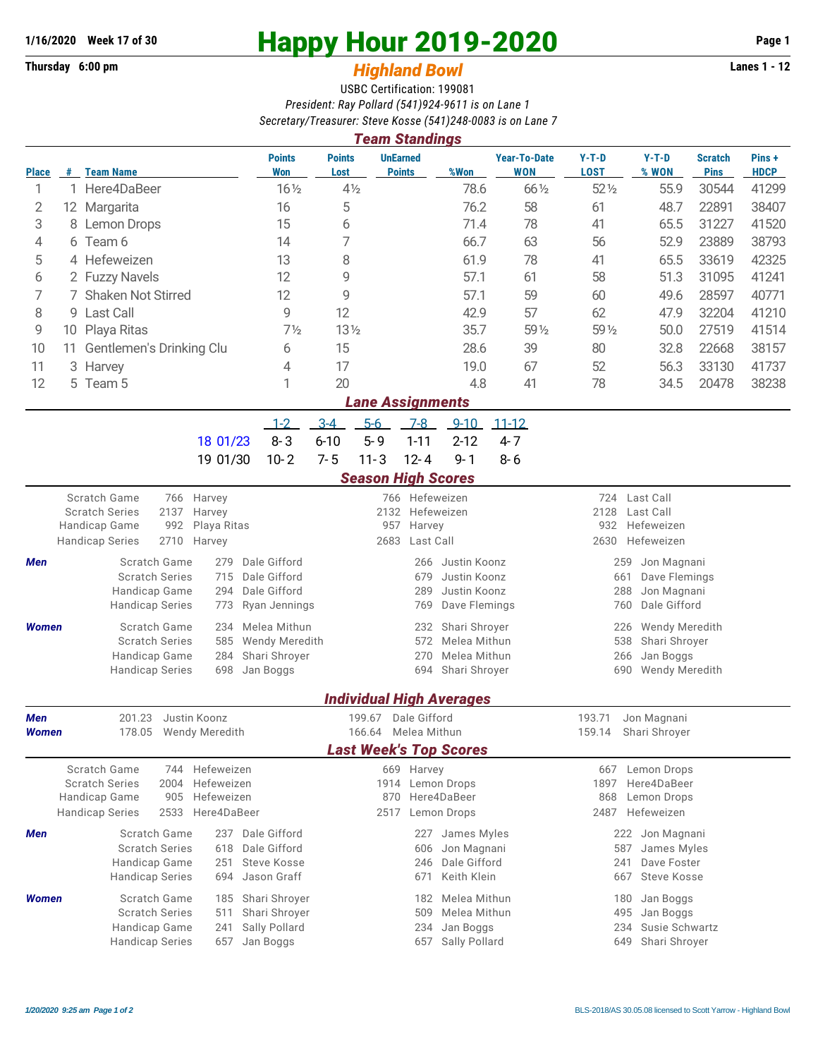## **1/16/2020** Week 17 of 30<br>
Thursday 6:00 pm<br> **Happy Hour 2019-2020** Page 1<br> **Highland Rowl**

## **Thursday 6:00 pm** *Highland Bowl*

USBC Certification: 199081 *President: Ray Pollard (541)924-9611 is on Lane 1 Secretary/Treasurer: Steve Kosse (541)248-0083 is on Lane 7*

| <b>Team Standings</b> |                                |                                                      |                                    |                             |                       |                                            |                              |                                 |                                          |                                  |                               |                               |                      |  |  |  |
|-----------------------|--------------------------------|------------------------------------------------------|------------------------------------|-----------------------------|-----------------------|--------------------------------------------|------------------------------|---------------------------------|------------------------------------------|----------------------------------|-------------------------------|-------------------------------|----------------------|--|--|--|
| <b>Place</b>          | #                              | <b>Team Name</b>                                     |                                    | <b>Points</b><br><b>Won</b> | <b>Points</b><br>Lost | <b>UnEarned</b>                            | <b>Points</b>                | %Won                            | <b>Year-To-Date</b><br><b>WON</b>        | $Y-T-D$<br><b>LOST</b>           | $Y-T-D$<br>% WON              | <b>Scratch</b><br><b>Pins</b> | Pins+<br><b>HDCP</b> |  |  |  |
| 1                     | $\mathbf{1}$                   | Here4DaBeer                                          |                                    | $16\frac{1}{2}$             | $4\frac{1}{2}$        |                                            |                              | 78.6                            | 66 1/2                                   | $52\%$                           | 55.9                          | 30544                         | 41299                |  |  |  |
| 2                     |                                | 12 Margarita                                         |                                    | 16                          | 5                     |                                            |                              | 76.2                            | 58                                       | 61                               | 48.7                          | 22891                         | 38407                |  |  |  |
| 3                     | 8                              | <b>Lemon Drops</b>                                   |                                    | 15                          | 6                     |                                            |                              | 71.4                            | 78                                       | 41                               | 65.5                          | 31227                         | 41520                |  |  |  |
| 4                     | 6.                             | Team 6                                               |                                    | 14                          | 7                     |                                            |                              | 66.7                            | 63                                       | 56                               | 52.9                          | 23889                         | 38793                |  |  |  |
| 5                     |                                | 4 Hefeweizen                                         |                                    | 13                          | 8                     |                                            |                              | 61.9                            | 78                                       | 41                               | 65.5                          | 33619                         | 42325                |  |  |  |
| 6                     |                                | 12<br>2 Fuzzy Navels                                 |                                    | 9                           |                       |                                            | 57.1                         | 61                              | 58                                       | 51.3                             | 31095                         | 41241                         |                      |  |  |  |
| 7                     | <b>Shaken Not Stirred</b>      |                                                      |                                    | 12                          | 9                     |                                            |                              | 57.1                            | 59                                       | 60                               | 49.6                          | 28597                         | 40771                |  |  |  |
| 8                     | 9 Last Call                    |                                                      |                                    | 9                           | 12                    |                                            |                              | 42.9                            | 57                                       | 62                               | 47.9                          | 32204                         | 41210                |  |  |  |
| 9                     | 10 Playa Ritas                 |                                                      |                                    |                             | $13\frac{1}{2}$       |                                            |                              | 35.7                            | 59 1/2                                   | 59 1/2                           | 50.0                          | 27519                         | 41514                |  |  |  |
| 10                    | Gentlemen's Drinking Clu<br>11 |                                                      |                                    |                             | 15                    |                                            |                              | 28.6                            | 39                                       | 80                               | 32.8                          | 22668                         | 38157                |  |  |  |
| 11                    | 3                              | Harvey                                               |                                    | 6<br>4                      | 17                    |                                            |                              | 19.0                            | 67                                       | 52                               | 56.3                          | 33130                         | 41737                |  |  |  |
| 12                    | 5.                             | Team 5                                               |                                    | 1                           | 20                    |                                            |                              | 4.8                             | 41                                       | 78                               | 34.5                          | 20478                         | 38238                |  |  |  |
|                       |                                |                                                      |                                    |                             |                       | <b>Lane Assignments</b>                    |                              |                                 |                                          |                                  |                               |                               |                      |  |  |  |
|                       |                                |                                                      |                                    | $1 - 2$                     | $3-4$                 | $5-6$                                      | $7-8$                        | $9 - 10$                        | $11 - 12$                                |                                  |                               |                               |                      |  |  |  |
|                       |                                |                                                      |                                    | $8 - 3$                     | $6 - 10$              | $5 - 9$                                    | $1 - 11$                     | $2 - 12$                        | $4 - 7$                                  |                                  |                               |                               |                      |  |  |  |
|                       |                                |                                                      | 18 01/23                           |                             |                       |                                            |                              |                                 |                                          |                                  |                               |                               |                      |  |  |  |
|                       |                                |                                                      | 19 01/30                           | $10 - 2$                    | $7 - 5$               | $11 - 3$                                   | $12 - 4$                     | $9 - 1$                         | $8 - 6$                                  |                                  |                               |                               |                      |  |  |  |
|                       |                                |                                                      |                                    |                             |                       | <b>Season High Scores</b>                  |                              |                                 |                                          |                                  |                               |                               |                      |  |  |  |
|                       |                                | Scratch Game<br>766<br><b>Scratch Series</b><br>2137 | Harvey<br>Harvey                   |                             |                       | 2132                                       | 766 Hefeweizen<br>Hefeweizen |                                 |                                          | 2128                             | 724<br>Last Call<br>Last Call |                               |                      |  |  |  |
|                       |                                | 992<br>Handicap Game                                 | Playa Ritas                        |                             |                       | Harvey<br>957                              |                              |                                 |                                          | Hefeweizen<br>932                |                               |                               |                      |  |  |  |
|                       |                                | 2710<br><b>Handicap Series</b>                       | 2683<br>Last Call                  |                             |                       |                                            |                              |                                 | 2630<br>Hefeweizen                       |                                  |                               |                               |                      |  |  |  |
| Men                   |                                | Scratch Game                                         | Dale Gifford                       |                             |                       | 266                                        | Justin Koonz                 | Jon Magnani<br>259              |                                          |                                  |                               |                               |                      |  |  |  |
|                       |                                | <b>Scratch Series</b>                                | Dale Gifford                       |                             |                       | Justin Koonz<br>679                        |                              |                                 |                                          | Dave Flemings<br>661             |                               |                               |                      |  |  |  |
|                       |                                | Handicap Game                                        | Dale Gifford                       |                             |                       | 289                                        | Justin Koonz                 |                                 | Jon Magnani<br>288                       |                                  |                               |                               |                      |  |  |  |
|                       |                                | <b>Handicap Series</b>                               | Ryan Jennings                      |                             |                       | 769<br>Dave Flemings                       |                              |                                 |                                          | Dale Gifford<br>760              |                               |                               |                      |  |  |  |
| <b>Women</b>          |                                | Scratch Game                                         | 234                                | Melea Mithun                |                       |                                            | 232                          | Shari Shroyer                   |                                          | Wendy Meredith<br>226            |                               |                               |                      |  |  |  |
|                       |                                | <b>Scratch Series</b>                                | 585                                | Wendy Meredith              |                       |                                            | 572<br>Melea Mithun          |                                 |                                          |                                  | 538<br>Shari Shroyer          |                               |                      |  |  |  |
|                       |                                | Handicap Game                                        | 284                                | Shari Shroyer               |                       |                                            | 270                          | Melea Mithun                    |                                          | 266<br>Jan Boggs                 |                               |                               |                      |  |  |  |
|                       |                                | <b>Handicap Series</b>                               | 698                                | Jan Boggs                   |                       | Shari Shroyer<br>694                       |                              |                                 |                                          | Wendy Meredith<br>690            |                               |                               |                      |  |  |  |
|                       |                                |                                                      |                                    |                             |                       |                                            |                              | <b>Individual High Averages</b> |                                          |                                  |                               |                               |                      |  |  |  |
| Men                   |                                | 201.23                                               | Justin Koonz                       |                             |                       | 199.67 Dale Gifford                        |                              |                                 |                                          | 193.71                           | Jon Magnani                   |                               |                      |  |  |  |
| Women                 |                                | 178.05 Wendy Meredith                                |                                    |                             |                       | 166.64 Melea Mithun                        |                              |                                 |                                          |                                  | 159.14 Shari Shroyer          |                               |                      |  |  |  |
|                       |                                |                                                      |                                    |                             |                       |                                            |                              | <b>Last Week's Top Scores</b>   |                                          |                                  |                               |                               |                      |  |  |  |
|                       |                                | Scratch Game                                         | 744 Hefeweizen<br>Hefeweizen       |                             |                       |                                            | 669 Harvey                   |                                 |                                          |                                  | 667 Lemon Drops               |                               |                      |  |  |  |
|                       |                                | <b>Scratch Series</b><br>2004                        |                                    |                             | 1914 Lemon Drops      |                                            |                              | 1897<br>Here4DaBeer             |                                          |                                  |                               |                               |                      |  |  |  |
|                       |                                | Handicap Game<br>905                                 | Hefeweizen                         |                             |                       |                                            |                              | 870 Here4DaBeer                 |                                          | Lemon Drops<br>868<br>Hefeweizen |                               |                               |                      |  |  |  |
|                       |                                | <b>Handicap Series</b><br>2533                       | Here4DaBeer                        |                             |                       |                                            |                              | 2517 Lemon Drops                |                                          | 2487                             |                               |                               |                      |  |  |  |
| Men                   |                                | Scratch Game                                         | 618                                | 237 Dale Gifford            |                       |                                            | 227                          | James Myles                     |                                          |                                  | 222 Jon Magnani               |                               |                      |  |  |  |
|                       |                                | <b>Scratch Series</b><br>Handicap Game               | Dale Gifford<br><b>Steve Kosse</b> |                             |                       | 606<br>246                                 | Jon Magnani<br>Dale Gifford  |                                 | James Myles<br>587<br>241<br>Dave Foster |                                  |                               |                               |                      |  |  |  |
|                       |                                | <b>Handicap Series</b>                               | 251<br>694                         | Jason Graff                 |                       |                                            | 671                          | Keith Klein                     |                                          |                                  | 667<br><b>Steve Kosse</b>     |                               |                      |  |  |  |
|                       |                                |                                                      | 185                                |                             |                       |                                            |                              |                                 |                                          |                                  |                               |                               |                      |  |  |  |
| Women                 |                                | Scratch Game<br><b>Scratch Series</b>                | Shari Shroyer<br>Shari Shroyer     |                             |                       | Melea Mithun<br>182<br>Melea Mithun<br>509 |                              |                                 | 180<br>Jan Boggs<br>495<br>Jan Boggs     |                                  |                               |                               |                      |  |  |  |
|                       |                                | Handicap Game                                        | Sally Pollard                      |                             |                       | 234                                        | Jan Boggs                    | Susie Schwartz<br>234           |                                          |                                  |                               |                               |                      |  |  |  |
|                       |                                | <b>Handicap Series</b>                               | 241<br>657                         | Jan Boggs                   |                       |                                            | 657                          | Sally Pollard                   |                                          |                                  | 649<br>Shari Shroyer          |                               |                      |  |  |  |
|                       |                                |                                                      |                                    |                             |                       |                                            |                              |                                 |                                          |                                  |                               |                               |                      |  |  |  |